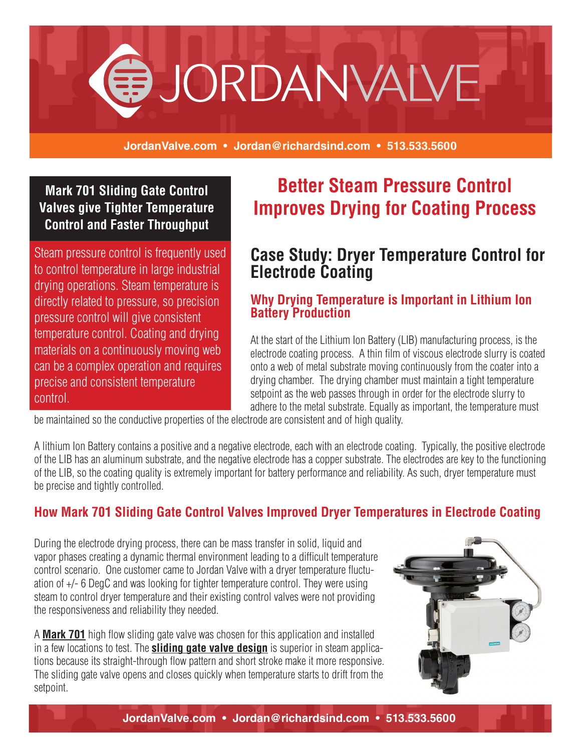

**JordanValve.com • Jordan@richardsind.com • 513.533.5600**

### **Mark 701 Sliding Gate Control Valves give Tighter Temperature Control and Faster Throughput**

Steam pressure control is frequently used to control temperature in large industrial drying operations. Steam temperature is directly related to pressure, so precision pressure control will give consistent temperature control. Coating and drying materials on a continuously moving web can be a complex operation and requires precise and consistent temperature control.

# **Better Steam Pressure Control Improves Drying for Coating Process**

# **Case Study: Dryer Temperature Control for Electrode Coating**

#### **Why Drying Temperature is Important in Lithium Ion Battery Production**

At the start of the Lithium Ion Battery (LIB) manufacturing process, is the electrode coating process. A thin film of viscous electrode slurry is coated onto a web of metal substrate moving continuously from the coater into a drying chamber. The drying chamber must maintain a tight temperature setpoint as the web passes through in order for the electrode slurry to adhere to the metal substrate. Equally as important, the temperature must

be maintained so the conductive properties of the electrode are consistent and of high quality.

A lithium Ion Battery contains a positive and a negative electrode, each with an electrode coating. Typically, the positive electrode of the LIB has an aluminum substrate, and the negative electrode has a copper substrate. The electrodes are key to the functioning of the LIB, so the coating quality is extremely important for battery performance and reliability. As such, dryer temperature must be precise and tightly controlled.

# **How Mark 701 Sliding Gate Control Valves Improved Dryer Temperatures in Electrode Coating**

During the electrode drying process, there can be mass transfer in solid, liquid and vapor phases creating a dynamic thermal environment leading to a difficult temperature control scenario. One customer came to Jordan Valve with a dryer temperature fluctuation of +/- 6 DegC and was looking for tighter temperature control. They were using steam to control dryer temperature and their existing control valves were not providing the responsiveness and reliability they needed.

A **Mark 701** high flow sliding gate valve was chosen for this application and installed in a few locations to test. The **sliding gate valve design** is superior in steam applications because its straight-through flow pattern and short stroke make it more responsive. The sliding gate valve opens and closes quickly when temperature starts to drift from the setpoint.



**JordanValve.com • Jordan@richardsind.com • 513.533.5600**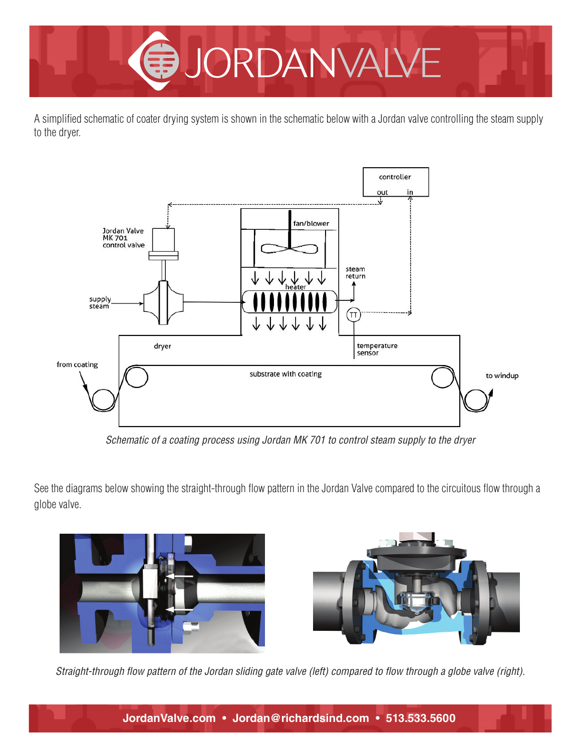

A simplified schematic of coater drying system is shown in the schematic below with a Jordan valve controlling the steam supply to the dryer.



*Schematic of a coating process using Jordan MK 701 to control steam supply to the dryer*

See the diagrams below showing the straight-through flow pattern in the Jordan Valve compared to the circuitous flow through a globe valve.





*Straight-through flow pattern of the Jordan sliding gate valve (left) compared to flow through a globe valve (right).*

**JordanValve.com • Jordan@richardsind.com • 513.533.5600**